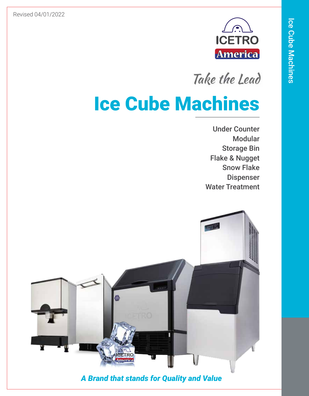Revised 04/01/2022



Take the Lead

# Ice Cube Machines

Under Counter Modular Storage Bin Flake & Nugget Snow Flake Dispenser Water Treatment



*A Brand that stands for Quality and Value*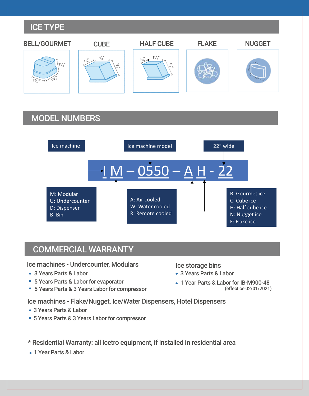#### ICE TYPE



### MODEL NUMBERS



#### COMMERCIAL WARRANTY

Ice machines - Undercounter, Modulars

- 3 Years Parts & Labor
- 5 Years Parts & Labor for evaporator
- 5 Years Parts & 3 Years Labor for compressor

Ice storage bins

- 3 Years Parts & Labor
- 1 Year Parts & Labor for IB-M900-48 (effectice 02/01/2021)

Ice machines - Flake/Nugget, Ice/Water Dispensers, Hotel Dispensers

- 3 Years Parts & Labor
- 5 Years Parts & 3 Years Labor for compressor
- \* Residential Warranty: all Icetro equipment, if installed in residential area
- 1 Year Parts & Labor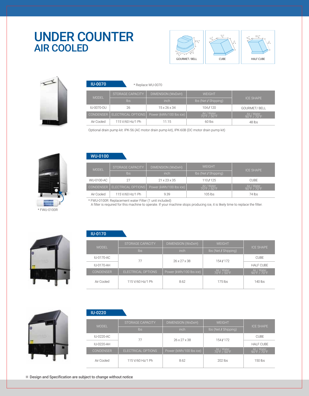### UNDER COUNTER AIR COOLED





| <b>IU-0070</b>   | * Replace WU-0070  |                          |                            |                            |
|------------------|--------------------|--------------------------|----------------------------|----------------------------|
|                  | STORAGE CAPACITY   | DIMENSION (WxDxH),       | <b>WEIGHT</b>              |                            |
| <b>MODEL</b>     | Ibs                | <i>inch</i>              | lbs (Net / Shipping)       | <b>ICE SHAPE</b>           |
| IU-0070-OU       | 26                 | $15 \times 26 \times 34$ | 104/120                    | GOURMET/BELL               |
| <b>CONDENSER</b> | ELECTRICAL OPTIONS | Power (kWh/100 lbs ice)  | Air / Water<br>70°F / 50°F | Air / Water<br>90°F / 70°F |
| Air Cooled       | 115 V/60 Hz/1 Ph   | 11.15                    | $60$ lbs                   | 48 lbs                     |

Optional drain pump kit: IPK-56 (AC motor drain pump kit), IPK-60B (DC motor drain pump kit)



#### WU-0100

| <b>MODEL</b>     | STORAGE CAPACITY   | DIMENSION (WxDxH)        | <b>WEIGHT</b>              | <b>ICE SHAPE</b>                                |
|------------------|--------------------|--------------------------|----------------------------|-------------------------------------------------|
|                  | lbs                | inch                     | Ibs (Net / Shipping)       |                                                 |
| WU-0100-AC       |                    | $21 \times 23 \times 35$ | 110/125                    | <b>CUBE</b>                                     |
| <b>CONDENSER</b> | ELECTRICAL OPTIONS | Power (kWh/100 lbs ice)  | Air / Water<br>70°F / 50°F | Air / Water<br>$90^{\circ}$ F / 70 $^{\circ}$ F |
| Air Cooled       | 115 V/60 Hz/1 Ph   | 9.39                     | 105 lbs                    | 74 lbs                                          |

\* FWU-0100R: Replacement water Filter (1 unit included)

A filter is required for this machine to operate. If your machine stops producing ice, it is likely time to replace the filter.



#### MODEL ICE SHAPE IU-0170-AC IU-0170-AH 77 26 x 27 x 38 154 / 172 CUBE HALF CUBE lbs inch lbs lbs (Net / Shipping) Air Cooled 115 V/60 Hz/1 Ph 8.62 175 lbs 140 lbs 140 lbs Air / Water<br>70°F / 50°I



#### IU-0220

IU-0170

| <b>MODEL</b>     | STORAGE CAPACITY   | DIMENSION (WxDxH)       | <b>WEIGHT</b>                                  | <b>ICE SHAPE</b>                                |
|------------------|--------------------|-------------------------|------------------------------------------------|-------------------------------------------------|
|                  | Ibs                | inch                    | lbs (Net / Shipping)                           |                                                 |
| IU-0220-AC       | 77                 | 26 x 27 x 38            | 154/172                                        | <b>CUBE</b>                                     |
| IU-0220-AH       |                    |                         |                                                | <b>HALF CUBE</b>                                |
| <b>CONDENSER</b> | ELECTRICAL OPTIONS | Power (kWh/100 lbs ice) | Air / Water<br>$70^{\circ}$ F / $50^{\circ}$ F | Air / Water<br>$90^{\circ}$ F / 70 $^{\circ}$ F |
| Air Cooled       | 115 V/60 Hz/1 Ph   | 8.62                    | $202$ lbs                                      | $150$ lbs                                       |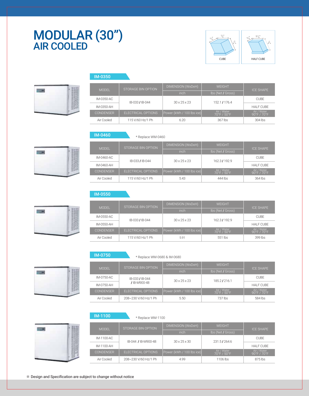### MODULAR (30") AIR COOLED





| <b>MODEL</b>     | STORAGE BIN OPTION | DIMENSION (WxDxH)         | <b>WEIGHT</b>              | <b>ICE SHAPE</b>                                |
|------------------|--------------------|---------------------------|----------------------------|-------------------------------------------------|
|                  |                    | inch                      | Ibs (Net / Gross)          |                                                 |
| IM-0350-AC       | IB-033 / IB-044    | $30 \times 25 \times 23$  | 152.1/176.4                | <b>CUBE</b>                                     |
| IM-0350-AH       |                    |                           |                            | <b>HALF CUBE</b>                                |
| <b>CONDENSER</b> | ELECTRICAL OPTIONS | Power (kWh / 100 lbs ice) | Air / Water<br>70°F / 50°F | Air / Water<br>$90^{\circ}$ F / 70 $^{\circ}$ F |
| Air Cooled       | 115 V/60 Hz/1 Ph   | 6.20                      | 367 lbs                    | 304 lbs                                         |

IM-0550

IM-0350

IM-0750

| IM-0460          | * Replace WM-0460  |                           |                            |                                                 |
|------------------|--------------------|---------------------------|----------------------------|-------------------------------------------------|
| <b>MODEL</b>     | STORAGE BIN OPTION | DIMENSION (WxDxH)         | <b>WEIGHT</b>              | <b>ICE SHAPE</b>                                |
|                  |                    | inch                      | Ibs (Net / Gross)          |                                                 |
| IM-0460-AC       | IB-033 / IB-044    | $30 \times 25 \times 23$  | 162.3/192.9                | <b>CUBE</b>                                     |
| IM-0460-AH       |                    |                           |                            | <b>HALF CUBE</b>                                |
| <b>CONDENSER</b> | ELECTRICAL OPTIONS | Power (kWh / 100 lbs ice) | Air / Water<br>70°F / 50°F | Air / Water<br>$90^{\circ}$ F / 70 $^{\circ}$ F |
| Air Cooled       | 115 V/60 Hz/1 Ph   | 5.43                      | 444 lbs                    | 364 lbs                                         |

| <b>MODEL</b>     | STORAGE BIN OPTION | DIMENSION (WxDxH)         | <b>WEIGHT</b>              | <b>ICE SHAPE</b>                                |
|------------------|--------------------|---------------------------|----------------------------|-------------------------------------------------|
|                  |                    | inch                      | Ibs (Net / Gross)          |                                                 |
| IM-0550-AC       | IB-033 / IB-044    | $30 \times 25 \times 23$  | 162.3/192.9                | <b>CUBE</b>                                     |
| IM-0550-AH       |                    |                           |                            | <b>HALF CUBE</b>                                |
| <b>CONDENSER</b> | ELECTRICAL OPTIONS | Power (kWh / 100 lbs ice) | Air / Water<br>70°F / 50°F | Air / Water<br>$90^{\circ}$ F / 70 $^{\circ}$ F |
| Air Cooled       | 115 V/60 Hz/1 Ph   | 5.91                      | 551 lbs                    | 399 lbs                                         |

| IM-0750          | * Replace WM-0680 & IM-0680 |                           |                            |                                                 |  |
|------------------|-----------------------------|---------------------------|----------------------------|-------------------------------------------------|--|
| <b>MODEL</b>     | STORAGE BIN OPTION          | DIMENSION (WxDxH)         | <b>WEIGHT</b>              | <b>ICE SHAPE</b>                                |  |
|                  |                             | <i>inch</i>               | <b>Ibs (Net / Gross)</b>   |                                                 |  |
| IM-0750-AC       | IB-033 / IB-044             | $30 \times 25 \times 23$  | 185.2/216.1                | <b>CUBE</b>                                     |  |
| IM-0750-AH       | /IB-M900-48                 |                           |                            | <b>HALF CUBE</b>                                |  |
| <b>CONDENSER</b> | ELECTRICAL OPTIONS          | Power (kWh / 100 lbs ice) | Air / Water<br>70°F / 50°F | Air / Water<br>$90^{\circ}$ F / 70 $^{\circ}$ F |  |
| Air Cooled       | 208~230 V/60 Hz/1 Ph        | 5.50                      | 737 lbs                    | 584 lbs                                         |  |

| - 2 |  |
|-----|--|
|     |  |
|     |  |

| <b>M-1100</b>    | * Replace WM-1100    |                           |                            |                            |
|------------------|----------------------|---------------------------|----------------------------|----------------------------|
| <b>MODEL</b>     | STORAGE BIN OPTION   | DIMENSION (WxDxH)         | <b>WEIGHT</b>              | <b>ICE SHAPE</b>           |
|                  |                      | inch                      | Ibs (Net / Gross)          |                            |
| IM-1100-AC       | IB-044 / IB-M900-48  | $30 \times 25 \times 30$  | 231.5/264.6                | <b>CUBE</b>                |
| IM-1100-AH       |                      |                           |                            | <b>HALF CUBE</b>           |
| <b>CONDENSER</b> | ELECTRICAL OPTIONS   | Power (kWh / 100 lbs ice) | Air / Water<br>70°F / 50°F | Air / Water<br>90°F / 70°F |
| Air Cooled       | 208~230 V/60 Hz/1 Ph | 4.99                      | 1106 lbs                   | 875 lbs                    |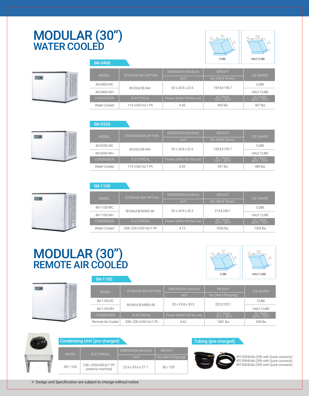# MODULAR (30") WATER COOLED



| IM-0460          |                    |                              | <b>CUBE</b>                | <b>HALF CUBE</b>           |
|------------------|--------------------|------------------------------|----------------------------|----------------------------|
|                  |                    |                              |                            |                            |
| <b>MODEL</b>     | STORAGE BIN OPTION | DIMENSION (WxDxH)            | <b>WEIGHT</b>              | <b>ICE SHAPE</b>           |
|                  |                    | inch                         | lbs (Net / Gross)          |                            |
| IM-0460-WC       |                    | $30 \times 24.8 \times 22.6$ | 159.8 / 190.7              | <b>CUBE</b>                |
| IM-0460-WH       | IB-033 / IB-044    |                              |                            | <b>HALF CUBE</b>           |
| <b>CONDENSER</b> | <b>ELECTRICAL</b>  | Power (kWh/100 lbs ice)      | Air / Water<br>70°F / 50°F | Air / Water<br>90°F / 70°F |
| Water Cooled     | 115 V/60 Hz/1 Ph   | 4.56                         | 463 lbs                    | 407 lbs                    |

/8" 7 $\frac{1}{8}$ 

3/8" 11  $\frac{1}{8}$ 

> 7 /8

7 /8 "

#### IM-0550

|                  | STORAGE BIN OPTION | DIMENSION (WxDxH)            | <b>WFIGHT</b>              | <b>ICE SHAPE</b>                                |  |
|------------------|--------------------|------------------------------|----------------------------|-------------------------------------------------|--|
| <b>MODEL</b>     |                    | inch                         | lbs (Net / Gross)          |                                                 |  |
| IM-0550-WC       | IB-033 / IB-044    | $30 \times 24.8 \times 22.6$ | 159.8/190.7                | <b>CUBE</b>                                     |  |
| IM-0550-WH       |                    |                              |                            | <b>HALF CUBE</b>                                |  |
| <b>CONDENSER</b> | <b>ELECTRICAL</b>  | Power (kWh/100 lbs ice)      | Air / Water<br>70°F / 50°F | Air / Water<br>$90^{\circ}$ F / 70 $^{\circ}$ F |  |
| Water Cooled     | 115 V/60 Hz/1 Ph   | 4.53                         | 547 lbs                    | 483 lbs                                         |  |

#### IM-1100

IM-1100

| <b>MODEL</b>                      | STORAGE BIN OPTION   | DIMENSION (WxDxH)            | <b>WFIGHT</b>              |                                                 |  |
|-----------------------------------|----------------------|------------------------------|----------------------------|-------------------------------------------------|--|
|                                   |                      | inch                         | Ibs (Net / Gross)          | <b>ICE SHAPE</b>                                |  |
| IM-1100-WC<br>IB-044 / IB-M900-48 |                      | $30 \times 24.8 \times 30.3$ | 216/249.1                  | <b>CUBE</b>                                     |  |
| IM-1100-WH                        |                      |                              |                            | HAI F CUBE                                      |  |
| <b>CONDENSER</b>                  | <b>ELECTRICAL</b>    | Power (kWh/100 lbs ice)      | Air / Water<br>70°F / 50°F | Air / Water<br>$90^{\circ}$ F / 70 $^{\circ}$ F |  |
| Water Cooled                      | 208~230 V/60 Hz/1 Ph | 4.13                         | 1036 lbs                   | $1004$ lbs                                      |  |

### MODULAR (30") REMOTE AIR COOLÉD



|                    | <b>MODEL</b>      | STORAGE BIN OPTION   | DIMENSION (WxDxH)            | <b>WEIGHT</b>              | <b>ICE SHAPE</b>           |
|--------------------|-------------------|----------------------|------------------------------|----------------------------|----------------------------|
|                    |                   |                      | inch                         | lbs (Net / Shipping)       |                            |
|                    | IM-1100-RC        | IB-044 / IB-M900-48  | $30 \times 24.8 \times 30.3$ | 202/235.1                  | <b>CUBE</b>                |
| <b>MANUFACTURE</b> | IM-1100-RH        |                      |                              |                            | <b>HALF CUBE</b>           |
|                    | <b>CONDENSER</b>  | <b>ELECTRICAL</b>    | Power (kWh/100 lbs ice)      | Air / Water<br>70°F / 50°F | Air / Water<br>90°F / 70°F |
|                    | Remote Air Cooled | 208~230 V/60 Hz/1 Ph | 4.62                         | 1081 lbs                   | 949 lbs                    |

|              | <b>Condensing Unit (pre-charged)</b>     |                                |                      | Τu |
|--------------|------------------------------------------|--------------------------------|----------------------|----|
|              |                                          | DIMENSION (WxDxH)              | <b>WEIGHT</b>        |    |
| <b>MODEL</b> | <b>ELECTRICAL</b>                        | inch                           | Ibs (Net / Shipping) |    |
| IRC-1100     | 208~230V/60Hz/1 Ph<br>(wired to machine) | $22.6 \times 35.6 \times 27.1$ | 80/105               |    |

IRT-20R404A (20ft with Quick connects)

bing (pre-charged)

IRT-35R404A (35ft with Quick connects) IRT-50R404A (50ft with Quick connects)

| $\sim$ |  |
|--------|--|
|        |  |
|        |  |
|        |  |

| <b>EQUILI</b><br>7 | ÷ |  |
|--------------------|---|--|
|                    |   |  |
|                    |   |  |
|                    |   |  |
|                    |   |  |
|                    |   |  |
|                    |   |  |
|                    |   |  |

用画

 $\sim$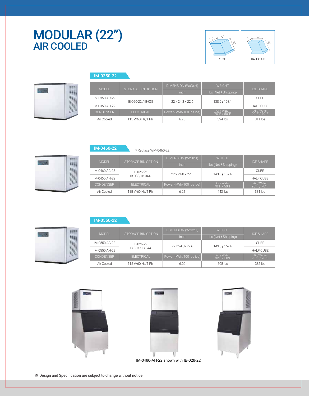### $\text{MODULAR (22")}$   $\begin{array}{|c|c|c|c|c|}\hline \text{WODULAR (22")}& \text{Weyl} & \text{Weyl} \ \hline \end{array}$ AIR COOLED



| Ì<br>÷<br>۰<br>w<br>۰<br>۹ | <b>STAR</b> |
|----------------------------|-------------|
|                            |             |
|                            |             |

|                   | DIMENSION (WxDxH)                        | WEIGHT                       | <b>ICE SHAPE</b>           |  |
|-------------------|------------------------------------------|------------------------------|----------------------------|--|
|                   | inch                                     | Ibs (Net / Shipping)         |                            |  |
|                   |                                          |                              | <b>CUBE</b>                |  |
|                   |                                          |                              | <b>HALF CUBE</b>           |  |
| <b>ELECTRICAL</b> | Power (kWh/100 lbs ice)                  | Air / Water<br>70°F / 50°F   | Air / Water<br>90°F / 70°F |  |
| 115 V/60 Hz/1 Ph  | 6.20                                     | 394 lbs                      | 311 lbs                    |  |
|                   | STORAGE BIN OPTION<br>IB-026-22 / IB-033 | $22 \times 24.8 \times 22.6$ | 138.9/163.1                |  |

| W      | - |
|--------|---|
| ÷<br>۰ |   |
|        |   |
|        |   |

**TILER** 

,,,,,,,,,,,,,,,,,,,,,,

| IM-0460-ZZ       | * Replace WM-0460-22 |                                    |                            |                                                 |  |
|------------------|----------------------|------------------------------------|----------------------------|-------------------------------------------------|--|
|                  |                      | DIMENSION (WxDxH)<br><b>WEIGHT</b> |                            |                                                 |  |
| <b>MODEL</b>     | STORAGE BIN OPTION   | inch                               | Ibs (Net / Shipping)       | <b>ICE SHAPE</b>                                |  |
| IM-0460-AC-22    | IB-026-22            | $22 \times 24.8 \times 22.6$       | 143.3/167.6                | <b>CUBE</b>                                     |  |
| IM-0460-AH-22    | IB-033/IB-044        |                                    |                            | <b>HALF CUBE</b>                                |  |
| <b>CONDENSER</b> | <b>ELECTRICAL</b>    | Power (kWh/100 lbs ice)            | Air / Water<br>70°F / 50°F | Air / Water<br>$90^{\circ}$ F / 70 $^{\circ}$ F |  |
| Air Cooled       | 115 V/60 Hz/1 Ph     | 6.21                               | 443 lbs                    | 331 lbs                                         |  |

IM-0550-22

IM-0350-22

IM-0460-22

|                  | STORAGE BIN OPTION | DIMENSION (WxDxH)            | <b>WEIGHT</b>              |                                                 |
|------------------|--------------------|------------------------------|----------------------------|-------------------------------------------------|
| <b>MODEL</b>     |                    | inch                         | Ibs (Net / Shipping)       | <b>ICE SHAPE</b>                                |
| IM-0550-AC-22    | IB-026-22          | $22 \times 24.8 \times 22.6$ | 143.3/167.6                | <b>CUBE</b>                                     |
| IM-0550-AH-22    | IB-033 / IB-044    |                              |                            | <b>HALF CUBE</b>                                |
| <b>CONDENSER</b> | <b>ELECTRICAL</b>  | Power (kWh/100 lbs ice)      | Air / Water<br>70°F / 50°F | Air / Water<br>$90^{\circ}$ F / 70 $^{\circ}$ F |
| Air Cooled       | 115 V/60 Hz/1 Ph   | 6.00                         | 508 lbs                    | 386 lbs                                         |







IM-0460-AH-22 shown with IB-026-22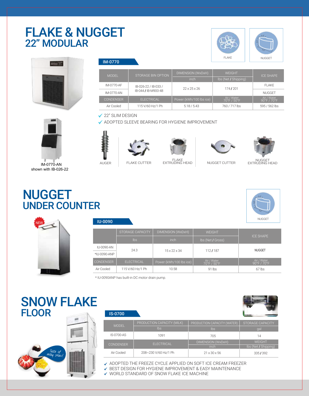### FLAKE & NUGGET 22" MODULAR





| <b>MODEL</b>     | DIMENSION (WxDxH)<br><b>WEIGHT</b><br>STORAGE BIN OPTION |                         |                            | <b>ICE SHAPE</b>           |  |
|------------------|----------------------------------------------------------|-------------------------|----------------------------|----------------------------|--|
|                  |                                                          | inch                    | Ibs (Net / Shipping)       |                            |  |
| IM-0770-AF       | IB-026-22 / IB-033 /                                     | 22x25x26                | 174/201                    | FI AKF                     |  |
| IM-0770-AN       | IB-044 / IB-M900-48                                      |                         |                            | <b>NUGGET</b>              |  |
| <b>CONDENSER</b> | FI FCTRICAL                                              | Power (kWh/100 lbs ice) | Air / Water<br>70°F / 50°F | Air / Water<br>90°F / 70°F |  |
| Air Cooled       | 115 V/60 Hz/1 Ph                                         | 5.18 / 5.43             | 760 / 717 lbs              | 595 / 562 lbs              |  |

#### **√ 22" SLIM DESIGN**

ADOPTED SLEEVE BEARING FOR HYGIENE IMPROVEMENT





AUGER









 IM-0770-AN shown with IB-026-22

### NUGGET UNDER COUNTER





IU-0090

|                  | STORAGE CAPACITY  | DIMENSION (WxDxH)        | <b>WEIGHT</b>              |                            |  |
|------------------|-------------------|--------------------------|----------------------------|----------------------------|--|
|                  | $\mathsf{lbs}$    | inch                     | lbs (Net / Gross)          | <b>ICE SHAPE</b>           |  |
| IU-0090-AN       | 24.3              | $15 \times 22 \times 34$ | 112/187                    | <b>NUGGET</b>              |  |
| *IU-0090-ANP     |                   |                          |                            |                            |  |
| <b>CONDENSER</b> | <b>ELECTRICAL</b> | Power (kWh/100 lbs ice)  | Air / Water<br>70°F / 50°F | Air / Water<br>90°F / 70°F |  |
| Air Cooled       | 115 V/60 Hz/1 Ph  | 10.58                    | $91$ lbs                   | $67$ lbs                   |  |

\* IU-0090ANP has built-in DC motor drain pump.

### SNOW FLAKE FLOOR



| <b>IS-0700</b>   |                            |                             |                         |
|------------------|----------------------------|-----------------------------|-------------------------|
| <b>MODEL</b>     | PRODUCTION CAPACITY (MILK) | PRODUCTION CAPACITY (WATER) | <b>STORAGE CAPACITY</b> |
|                  | $\mathsf{lbs}$             | <b>lbs</b>                  | gal                     |
| IS-0700-AS       | 1091                       | 705                         | 14                      |
| <b>CONDENSER</b> | <b>ELECTRICAL</b>          | DIMENSION (WxDxH)           | <b>WEIGHT</b>           |
|                  |                            | inch                        | Ibs (Net / Shipping)    |
| Air Cooled       | 208~230 V/60 Hz/1 Ph       | $21 \times 30 \times 56$    | 335/392                 |

ADOPTED THE FREEZE CYCLE APPLIED ON SOFT ICE CREAM FREEZER

BEST DESIGN FOR HYGIENE IMPROVEMENT & EASY MAINTENANCE

WORLD STANDARD OF SNOW FLAKE ICE MACHINE



NUGGET EXTRUDING HEAD

FLAKE NUGGET

 $0.4"$ 

 $0.6$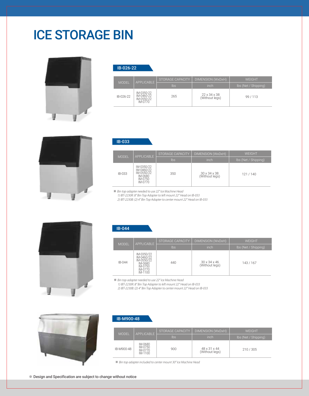# ICE STORAGE BIN



IB-026-22

| <b>MODEL</b> | <b>APPLICABLE</b>                                 | STORAGE CAPACITY I | DIMENSION (WxDxH)                          | <b>WFIGHT</b>        |
|--------------|---------------------------------------------------|--------------------|--------------------------------------------|----------------------|
|              |                                                   | lbs                | inch                                       | Ibs (Net / Shipping) |
| IB-026-22    | IM-0350-22<br>IM-0460-22<br>IM-0550-22<br>IM-0770 | 265                | $22 \times 34 \times 38$<br>(Without legs) | 99/113               |



|              | <b>APPLICABLE</b>                                                       | <b>STORAGE CAPACITY</b> | DIMENSION (WxDxH)              | <b>WEIGHT</b>        |
|--------------|-------------------------------------------------------------------------|-------------------------|--------------------------------|----------------------|
| <b>MODEL</b> |                                                                         | Ibs                     | inch                           | Ibs (Net / Shipping) |
| IB-033       | IM-0350/22<br>IM-0460/22<br>IM-0550/22<br>IM-0680<br>IM-0750<br>IM-0770 | 350                     | 30 x 34 x 38<br>(Without legs) | 121/140              |

※

1) IBT-2230R: 8" Bin Top Adapter to left mount 22" Head on IB-033

2) IBT-2230B: (2) 4" Bin Top Adapter to center mount 22" Head on IB-033



#### IB-044

IB-M900-48

IB-033

|  | <b>MODEL</b> | <b>APPLICABLE</b>                                                                  | STORAGE CAPACITY | DIMENSION (WxDxH)                          | WEIGHT    |
|--|--------------|------------------------------------------------------------------------------------|------------------|--------------------------------------------|-----------|
|  |              | Ibs                                                                                | inch             | Ibs (Net / Shipping)                       |           |
|  | IB-044       | IM-0350/22<br>IM-0460/22<br>IM-0550/22<br>IM-0680<br>IM-0750<br>IM-0770<br>IM-1100 | 440              | $30 \times 34 \times 46$<br>(Without legs) | 143 / 167 |

**※** Bin top adapter needed to use 22" Ice Machine Head

1) IBT-2230R: 8" Bin Top Adapter to left mount 22" Head on IB-033 2) IBT-2230B: (2) 4" Bin Top Adapter to center mount 22" Head on IB-033



| <b>MODEL</b> | APPI ICABLE                              | STORAGE CAPACITY | DIMENSION (WxDxH)              | <b>WFIGHT</b>        |
|--------------|------------------------------------------|------------------|--------------------------------|----------------------|
|              |                                          | lbs              | inch                           | Ibs (Net / Shipping) |
| IB-M900-48   | IM-0680<br>IM-0750<br>IM-0770<br>IM-1100 | 900              | 48 x 31 x 44<br>(Without legs) | 210/305              |

**※** Bin top adapter included to center mount 30" Ice Machine Head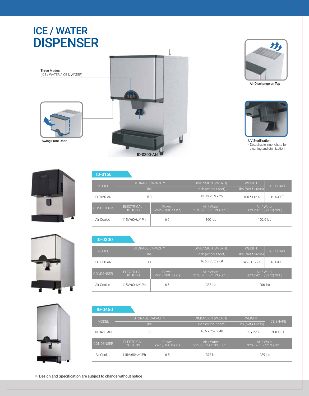# ICE / WATER DISPENSER





Air Dischange on Top



UV Sterilization - Detachable inner chute for cleaning and sterilization



Swing Front Door

Three Modes



#### ID-0160

|                  | STORAGE CAPACITY<br><b>MODEL</b><br>$\mathsf{lbs}$ |                                     | <b>DIMENSION (WxDxH)</b>             | <b>WEIGHT</b>         | <b>ICE SHAPE</b> |
|------------------|----------------------------------------------------|-------------------------------------|--------------------------------------|-----------------------|------------------|
|                  |                                                    |                                     | inch (without foot)                  | Ibs (Net / Gross)     |                  |
| ID-0160-AN       | 5.3                                                |                                     | $13.8 \times 23.9 \times 25$         | 106/112.4             | <b>NUGGET</b>    |
| <b>CONDENSER</b> | <b>ELECTRICAL</b><br><b>OPTIONS</b>                | <b>Power</b><br>(kWh / 100 lbs ice) | Air / Water<br>21°C(70°F)/10°C(50°F) | 32°C(90°F)/21°C(70°F) | Air / Water      |
| Air Cooled       | 115V/60Hz/1Ph                                      | 6.5                                 | 160 lbs                              |                       | 102.6 lbs        |

#### ID-0300

| <b>MODEL</b>     | STORAGE CAPACITY<br>lbs             |                              | DIMENSION (WxDxH)<br>inch (without foot) | <b>WEIGHT</b><br>Ibs (Net / Gross)   | <b>ICE SHAPE</b> |
|------------------|-------------------------------------|------------------------------|------------------------------------------|--------------------------------------|------------------|
| ID-0300-AN       |                                     |                              | $16.6 \times 25 \times 27.9$             | 145.5/177.5                          | <b>NUGGET</b>    |
| <b>CONDENSER</b> | <b>ELECTRICAL</b><br><b>OPTIONS</b> | Power<br>(kWh / 100 lbs ice) | Air / Water<br>21°C(70°F)/10°C(50°F)     | Air / Water<br>32°C(90°F)/21°C(70°F) |                  |
| Air Cooled       | 115V/60Hz/1Ph                       | 6.5                          | 282 lbs                                  | 206 lbs                              |                  |

| ID-0450          |                                      |                              |                                      |                                      |                  |
|------------------|--------------------------------------|------------------------------|--------------------------------------|--------------------------------------|------------------|
|                  | STORAGE CAPACITY                     |                              | DIMENSION (WxDxH)                    | <b>WEIGHT</b>                        |                  |
|                  | <b>MODEL</b><br>Ibs                  |                              | inch (without foot)                  | Ibs (Net / Gross)                    | <b>ICE SHAPE</b> |
| ID-0450-AN       | 30                                   |                              | $16.6 \times 26.6 \times 40$         | 198/228                              | <b>NUGGET</b>    |
| <b>CONDENSER</b> | <b>FI FCTRICAL</b><br><b>OPTIONS</b> | Power<br>(kWh / 100 lbs ice) | Air / Water<br>21°C(70°F)/10°C(50°F) | Air / Water<br>32°C(90°F)/21°C(70°F) |                  |
| Air Cooled       | 115V/60Hz/1Ph                        | 6.5                          | 378 lbs                              | 289 lbs                              |                  |

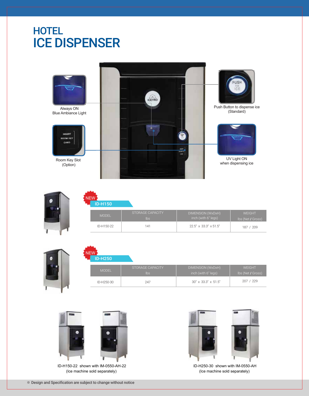### **HOTEL** ICE DISPENSER



| <b>ID-H150</b> |                                |                                          |                                    |
|----------------|--------------------------------|------------------------------------------|------------------------------------|
| <b>MODEL</b>   | STORAGE CAPACITY<br><b>lbs</b> | DIMENSION (WxDxH)<br>inch (with 6" legs) | <b>WEIGHT</b><br>lbs (Net / Gross) |
| ID-H150-22     | 141                            | 22.5" x 33.3" x 51.5"                    | 187 / 209                          |

| <b>ID-H250</b> |                                |                                          |                                    |  |  |
|----------------|--------------------------------|------------------------------------------|------------------------------------|--|--|
| <b>MODEL</b>   | STORAGE CAPACITY<br><b>lbs</b> | DIMENSION (WxDxH)<br>inch (with 6" legs) | <b>WEIGHT</b><br>Ibs (Net / Gross) |  |  |
| ID-H250-30     | 247                            | 30" x 33.3" x 51.5"                      | 207 / 229                          |  |  |
|                |                                |                                          |                                    |  |  |

![](_page_9_Picture_4.jpeg)

 ID-H150-22 shown with IM-0550-AH-22 (Ice machine sold separately)

![](_page_9_Picture_6.jpeg)

 ID-H250-30 shown with IM-0550-AH (Ice machine sold separately)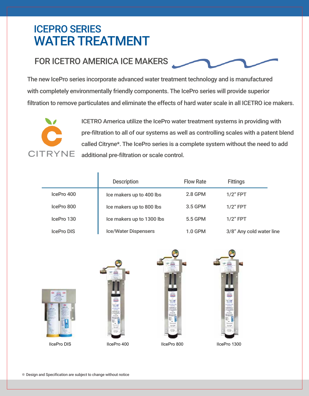# ICEPRO SERIES WATER TREATMENT

### FOR ICETRO AMERICA ICE MAKERS

Ĭ.

The new IcePro series incorporate advanced water treatment technology and is manufactured with completely environmentally friendly components. The IcePro series will provide superior filtration to remove particulates and eliminate the effects of hard water scale in all ICETRO ice makers.

![](_page_10_Picture_3.jpeg)

ICETRO America utilize the IcePro water treatment systems in providing with pre-filtration to all of our systems as well as controlling scales with a patent blend called Citryne\*. The IcePro series is a complete system without the need to add additional pre-filtration or scale control.

|                   | <b>Description</b>          | <b>Flow Rate</b> | <b>Fittings</b>          |
|-------------------|-----------------------------|------------------|--------------------------|
| IcePro 400        | Ice makers up to 400 lbs    | 2.8 GPM          | $1/2$ " FPT              |
| IcePro 800        | Ice makers up to 800 lbs    | 3.5 GPM          | $1/2$ " FPT              |
| IcePro 130        | Ice makers up to 1300 lbs   | 5.5 GPM          | $1/2$ " FPT              |
| <b>IcePro DIS</b> | <b>Ice/Water Dispensers</b> | <b>1.0 GPM</b>   | 3/8" Any cold water line |

![](_page_10_Picture_6.jpeg)

![](_page_10_Picture_8.jpeg)

![](_page_10_Picture_9.jpeg)

![](_page_10_Picture_10.jpeg)